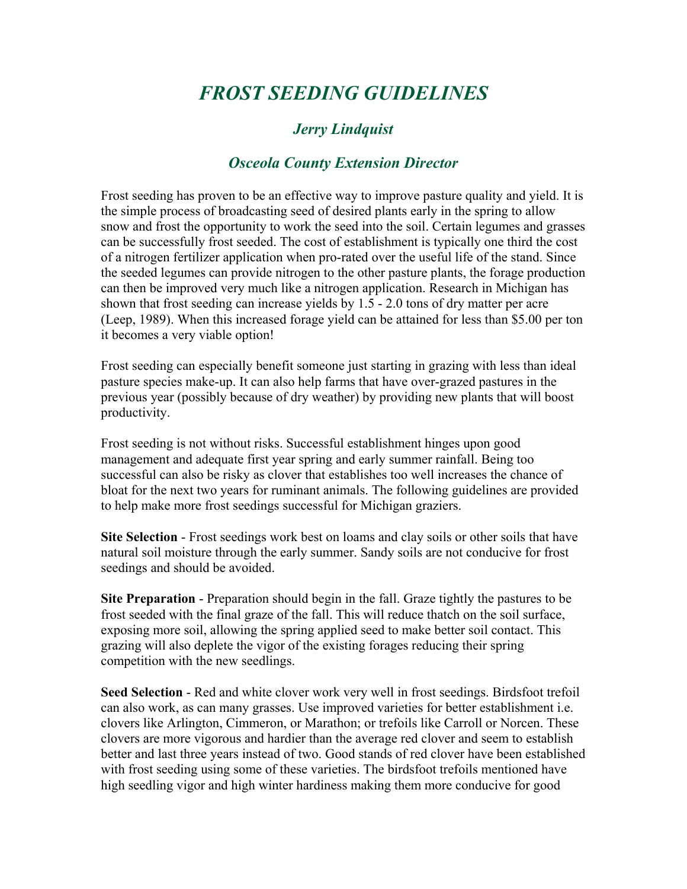## *FROST SEEDING GUIDELINES*

## *Jerry Lindquist*

## *Osceola County Extension Director*

Frost seeding has proven to be an effective way to improve pasture quality and yield. It is the simple process of broadcasting seed of desired plants early in the spring to allow snow and frost the opportunity to work the seed into the soil. Certain legumes and grasses can be successfully frost seeded. The cost of establishment is typically one third the cost of a nitrogen fertilizer application when pro-rated over the useful life of the stand. Since the seeded legumes can provide nitrogen to the other pasture plants, the forage production can then be improved very much like a nitrogen application. Research in Michigan has shown that frost seeding can increase yields by 1.5 - 2.0 tons of dry matter per acre (Leep, 1989). When this increased forage yield can be attained for less than \$5.00 per ton it becomes a very viable option!

Frost seeding can especially benefit someone just starting in grazing with less than ideal pasture species make-up. It can also help farms that have over-grazed pastures in the previous year (possibly because of dry weather) by providing new plants that will boost productivity.

Frost seeding is not without risks. Successful establishment hinges upon good management and adequate first year spring and early summer rainfall. Being too successful can also be risky as clover that establishes too well increases the chance of bloat for the next two years for ruminant animals. The following guidelines are provided to help make more frost seedings successful for Michigan graziers.

**Site Selection** - Frost seedings work best on loams and clay soils or other soils that have natural soil moisture through the early summer. Sandy soils are not conducive for frost seedings and should be avoided.

**Site Preparation** - Preparation should begin in the fall. Graze tightly the pastures to be frost seeded with the final graze of the fall. This will reduce thatch on the soil surface, exposing more soil, allowing the spring applied seed to make better soil contact. This grazing will also deplete the vigor of the existing forages reducing their spring competition with the new seedlings.

**Seed Selection** - Red and white clover work very well in frost seedings. Birdsfoot trefoil can also work, as can many grasses. Use improved varieties for better establishment i.e. clovers like Arlington, Cimmeron, or Marathon; or trefoils like Carroll or Norcen. These clovers are more vigorous and hardier than the average red clover and seem to establish better and last three years instead of two. Good stands of red clover have been established with frost seeding using some of these varieties. The birdsfoot trefoils mentioned have high seedling vigor and high winter hardiness making them more conducive for good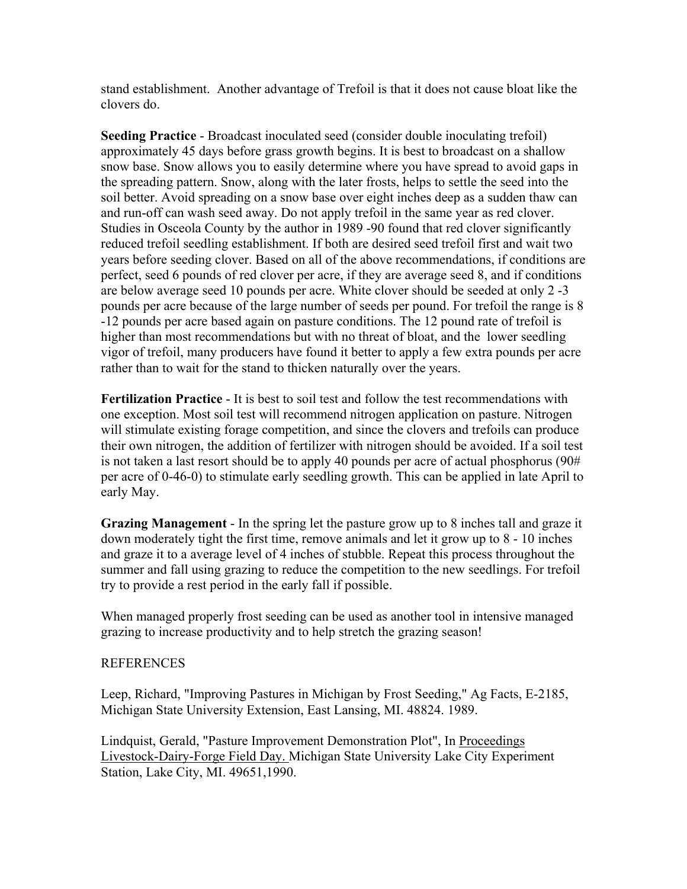stand establishment. Another advantage of Trefoil is that it does not cause bloat like the clovers do.

**Seeding Practice** - Broadcast inoculated seed (consider double inoculating trefoil) approximately 45 days before grass growth begins. It is best to broadcast on a shallow snow base. Snow allows you to easily determine where you have spread to avoid gaps in the spreading pattern. Snow, along with the later frosts, helps to settle the seed into the soil better. Avoid spreading on a snow base over eight inches deep as a sudden thaw can and run-off can wash seed away. Do not apply trefoil in the same year as red clover. Studies in Osceola County by the author in 1989 -90 found that red clover significantly reduced trefoil seedling establishment. If both are desired seed trefoil first and wait two years before seeding clover. Based on all of the above recommendations, if conditions are perfect, seed 6 pounds of red clover per acre, if they are average seed 8, and if conditions are below average seed 10 pounds per acre. White clover should be seeded at only 2 -3 pounds per acre because of the large number of seeds per pound. For trefoil the range is 8 -12 pounds per acre based again on pasture conditions. The 12 pound rate of trefoil is higher than most recommendations but with no threat of bloat, and the lower seedling vigor of trefoil, many producers have found it better to apply a few extra pounds per acre rather than to wait for the stand to thicken naturally over the years.

**Fertilization Practice** - It is best to soil test and follow the test recommendations with one exception. Most soil test will recommend nitrogen application on pasture. Nitrogen will stimulate existing forage competition, and since the clovers and trefoils can produce their own nitrogen, the addition of fertilizer with nitrogen should be avoided. If a soil test is not taken a last resort should be to apply 40 pounds per acre of actual phosphorus (90# per acre of 0-46-0) to stimulate early seedling growth. This can be applied in late April to early May.

**Grazing Management** - In the spring let the pasture grow up to 8 inches tall and graze it down moderately tight the first time, remove animals and let it grow up to 8 - 10 inches and graze it to a average level of 4 inches of stubble. Repeat this process throughout the summer and fall using grazing to reduce the competition to the new seedlings. For trefoil try to provide a rest period in the early fall if possible.

When managed properly frost seeding can be used as another tool in intensive managed grazing to increase productivity and to help stretch the grazing season!

## **REFERENCES**

Leep, Richard, "Improving Pastures in Michigan by Frost Seeding," Ag Facts, E-2185, Michigan State University Extension, East Lansing, MI. 48824. 1989.

Lindquist, Gerald, "Pasture Improvement Demonstration Plot", In Proceedings Livestock-Dairy-Forge Field Day. Michigan State University Lake City Experiment Station, Lake City, MI. 49651,1990.